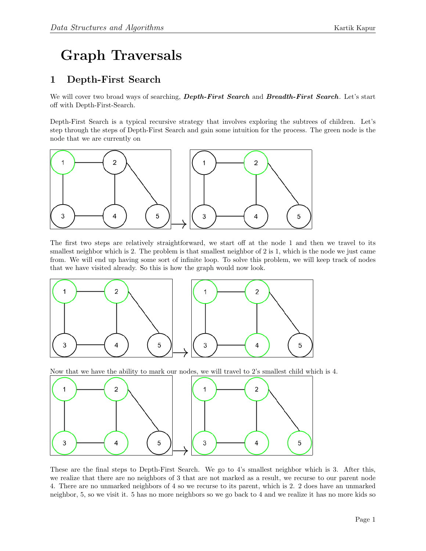## Graph Traversals

## 1 Depth-First Search

We will cover two broad ways of searching, **Depth-First Search** and **Breadth-First Search**. Let's start off with Depth-First-Search.

Depth-First Search is a typical recursive strategy that involves exploring the subtrees of children. Let's step through the steps of Depth-First Search and gain some intuition for the process. The green node is the node that we are currently on



The first two steps are relatively straightforward, we start off at the node 1 and then we travel to its smallest neighbor which is 2. The problem is that smallest neighbor of 2 is 1, which is the node we just came from. We will end up having some sort of infinite loop. To solve this problem, we will keep track of nodes that we have visited already. So this is how the graph would now look.



Now that we have the ability to mark our nodes, we will travel to 2's smallest child which is 4.



These are the final steps to Depth-First Search. We go to 4's smallest neighbor which is 3. After this, we realize that there are no neighbors of 3 that are not marked as a result, we recurse to our parent node 4. There are no unmarked neighbors of 4 so we recurse to its parent, which is 2. 2 does have an unmarked neighbor, 5, so we visit it. 5 has no more neighbors so we go back to 4 and we realize it has no more kids so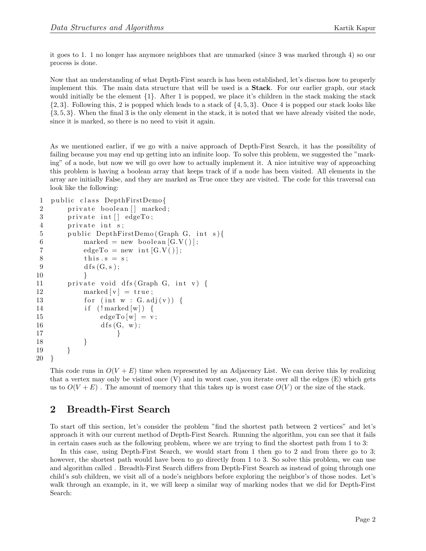it goes to 1. 1 no longer has anymore neighbors that are unmarked (since 3 was marked through 4) so our process is done.

Now that an understanding of what Depth-First search is has been established, let's discuss how to properly implement this. The main data structure that will be used is a Stack. For our earlier graph, our stack would initially be the element {1}. After 1 is popped, we place it's children in the stack making the stack  $\{2,3\}$ . Following this, 2 is popped which leads to a stack of  $\{4,5,3\}$ . Once 4 is popped our stack looks like {3, 5, 3}. When the final 3 is the only element in the stack, it is noted that we have already visited the node, since it is marked, so there is no need to visit it again.

As we mentioned earlier, if we go with a naive approach of Depth-First Search, it has the possibility of failing because you may end up getting into an infinite loop. To solve this problem, we suggested the "marking" of a node, but now we will go over how to actually implement it. A nice intuitive way of approaching this problem is having a boolean array that keeps track of if a node has been visited. All elements in the array are initially False, and they are marked as True once they are visited. The code for this traversal can look like the following:

```
1 public class DepthFirstDemo{
2 private boolean [] marked;
3 private int [] edgeTo;
4 private int s;
5 public DepthFirstDemo (Graph G, int s) {
6 marked = new boolean [G.V()];
7 edgeTo = new int [G.V()];8 \t\t \text{this.s} = s;9 \mathrm{d} f s (G, s);
10 }
11 private void dfs (Graph G, int v) {
12 marked [v] = true;13 for (int w : G.add(v)) {
14 if \{! \text{ marked } [w] \} {
15 \text{edgeTo}[w] = v;16 \quad d \, \text{fs} \, (\text{G}, \, \text{w});17 }
18 }
19 }
20 }
```
This code runs in  $O(V + E)$  time when represented by an Adjacency List. We can derive this by realizing that a vertex may only be visited once (V) and in worst case, you iterate over all the edges (E) which gets us to  $O(V + E)$ . The amount of memory that this takes up is worst case  $O(V)$  or the size of the stack.

## 2 Breadth-First Search

To start off this section, let's consider the problem "find the shortest path between 2 vertices" and let's approach it with our current method of Depth-First Search. Running the algorithm, you can see that it fails in certain cases such as the following problem, where we are trying to find the shortest path from 1 to 3:

In this case, using Depth-First Search, we would start from 1 then go to 2 and from there go to 3; however, the shortest path would have been to go directly from 1 to 3. So solve this problem, we can use and algorithm called . Breadth-First Search differs from Depth-First Search as instead of going through one child's sub children, we visit all of a node's neighbors before exploring the neighbor's of those nodes. Let's walk through an example, in it, we will keep a similar way of marking nodes that we did for Depth-First Search: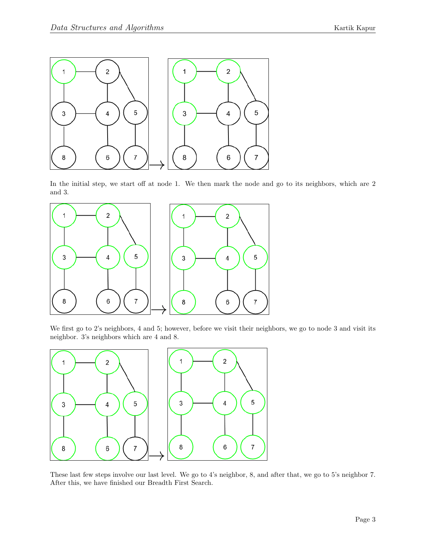

In the initial step, we start off at node 1. We then mark the node and go to its neighbors, which are 2 and 3.



We first go to 2's neighbors, 4 and 5; however, before we visit their neighbors, we go to node 3 and visit its neighbor. 3's neighbors which are 4 and 8.



These last few steps involve our last level. We go to 4's neighbor, 8, and after that, we go to 5's neighbor 7. After this, we have finished our Breadth First Search.